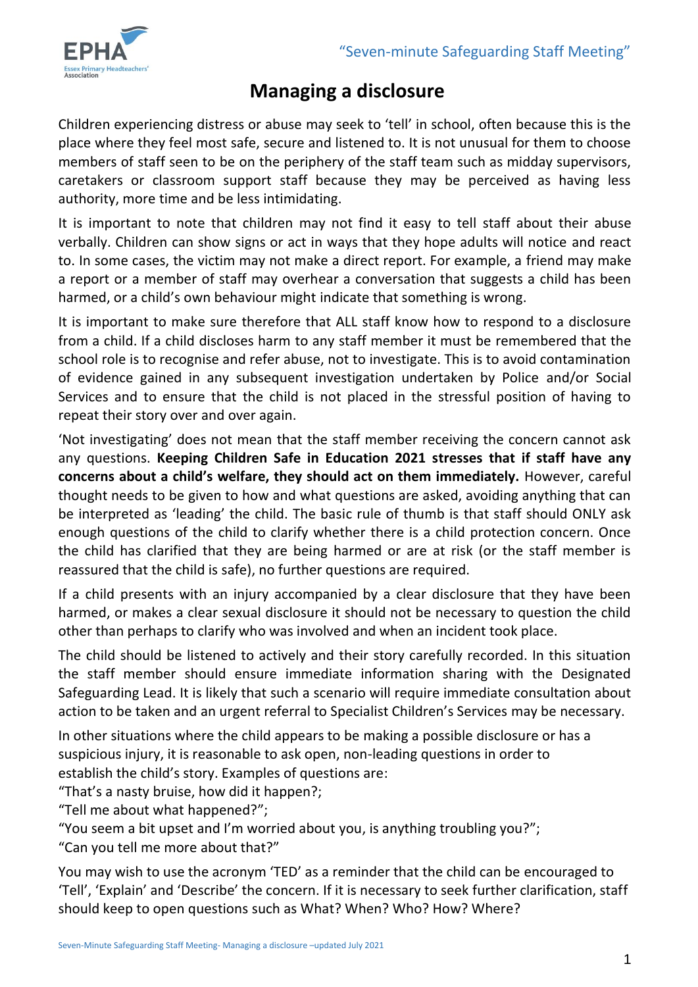

# **Managing a disclosure**

Children experiencing distress or abuse may seek to 'tell' in school, often because this is the place where they feel most safe, secure and listened to. It is not unusual for them to choose members of staff seen to be on the periphery of the staff team such as midday supervisors, caretakers or classroom support staff because they may be perceived as having less authority, more time and be less intimidating.

It is important to note that children may not find it easy to tell staff about their abuse verbally. Children can show signs or act in ways that they hope adults will notice and react to. In some cases, the victim may not make a direct report. For example, a friend may make a report or a member of staff may overhear a conversation that suggests a child has been harmed, or a child's own behaviour might indicate that something is wrong.

It is important to make sure therefore that ALL staff know how to respond to a disclosure from a child. If a child discloses harm to any staff member it must be remembered that the school role is to recognise and refer abuse, not to investigate. This is to avoid contamination of evidence gained in any subsequent investigation undertaken by Police and/or Social Services and to ensure that the child is not placed in the stressful position of having to repeat their story over and over again.

'Not investigating' does not mean that the staff member receiving the concern cannot ask any questions. **Keeping Children Safe in Education 2021 stresses that if staff have any concerns about a child's welfare, they should act on them immediately.** However, careful thought needs to be given to how and what questions are asked, avoiding anything that can be interpreted as 'leading' the child. The basic rule of thumb is that staff should ONLY ask enough questions of the child to clarify whether there is a child protection concern. Once the child has clarified that they are being harmed or are at risk (or the staff member is reassured that the child is safe), no further questions are required.

If a child presents with an injury accompanied by a clear disclosure that they have been harmed, or makes a clear sexual disclosure it should not be necessary to question the child other than perhaps to clarify who was involved and when an incident took place.

The child should be listened to actively and their story carefully recorded. In this situation the staff member should ensure immediate information sharing with the Designated Safeguarding Lead. It is likely that such a scenario will require immediate consultation about action to be taken and an urgent referral to Specialist Children's Services may be necessary.

In other situations where the child appears to be making a possible disclosure or has a suspicious injury, it is reasonable to ask open, non-leading questions in order to establish the child's story. Examples of questions are:

"That's a nasty bruise, how did it happen?;

"Tell me about what happened?";

"You seem a bit upset and I'm worried about you, is anything troubling you?";

"Can you tell me more about that?"

You may wish to use the acronym 'TED' as a reminder that the child can be encouraged to 'Tell', 'Explain' and 'Describe' the concern. If it is necessary to seek further clarification, staff should keep to open questions such as What? When? Who? How? Where?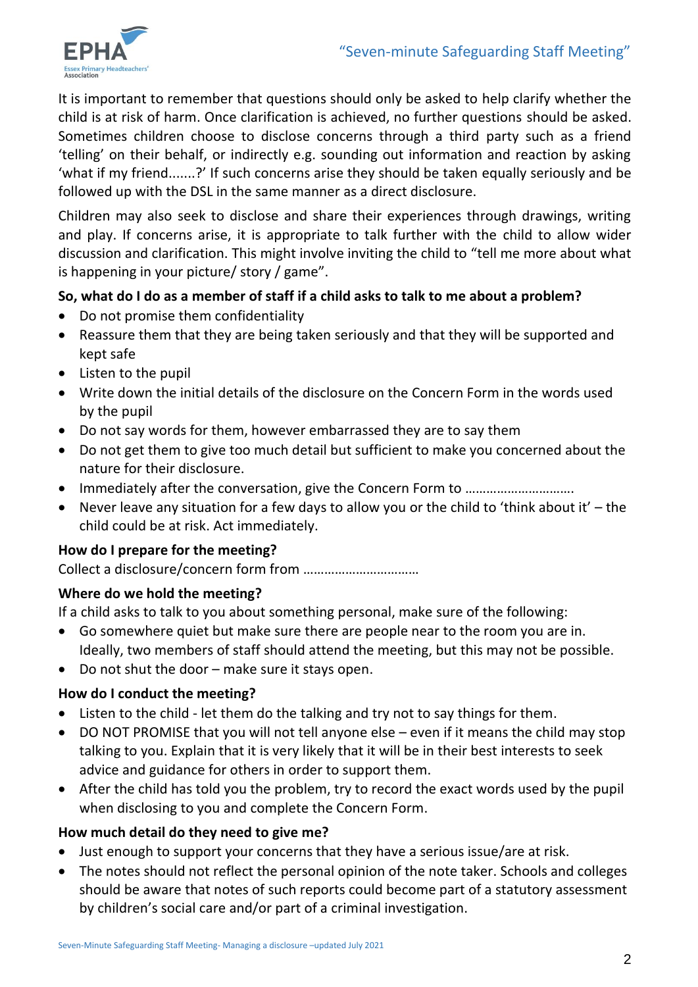

It is important to remember that questions should only be asked to help clarify whether the child is at risk of harm. Once clarification is achieved, no further questions should be asked. Sometimes children choose to disclose concerns through a third party such as a friend 'telling' on their behalf, or indirectly e.g. sounding out information and reaction by asking 'what if my friend.......?' If such concerns arise they should be taken equally seriously and be followed up with the DSL in the same manner as a direct disclosure.

Children may also seek to disclose and share their experiences through drawings, writing and play. If concerns arise, it is appropriate to talk further with the child to allow wider discussion and clarification. This might involve inviting the child to "tell me more about what is happening in your picture/ story / game".

# **So, what do I do as a member of staff if a child asks to talk to me about a problem?**

- Do not promise them confidentiality
- Reassure them that they are being taken seriously and that they will be supported and kept safe
- Listen to the pupil
- Write down the initial details of the disclosure on the Concern Form in the words used by the pupil
- Do not say words for them, however embarrassed they are to say them
- Do not get them to give too much detail but sufficient to make you concerned about the nature for their disclosure.
- Immediately after the conversation, give the Concern Form to ……………………………………………
- Never leave any situation for a few days to allow you or the child to 'think about it' the child could be at risk. Act immediately.

# **How do I prepare for the meeting?**

Collect a disclosure/concern form from ……………………………

# **Where do we hold the meeting?**

If a child asks to talk to you about something personal, make sure of the following:

- Go somewhere quiet but make sure there are people near to the room you are in. Ideally, two members of staff should attend the meeting, but this may not be possible.
- Do not shut the door make sure it stays open.

# **How do I conduct the meeting?**

- Listen to the child let them do the talking and try not to say things for them.
- DO NOT PROMISE that you will not tell anyone else even if it means the child may stop talking to you. Explain that it is very likely that it will be in their best interests to seek advice and guidance for others in order to support them.
- After the child has told you the problem, try to record the exact words used by the pupil when disclosing to you and complete the Concern Form.

# **How much detail do they need to give me?**

- Just enough to support your concerns that they have a serious issue/are at risk.
- The notes should not reflect the personal opinion of the note taker. Schools and colleges should be aware that notes of such reports could become part of a statutory assessment by children's social care and/or part of a criminal investigation.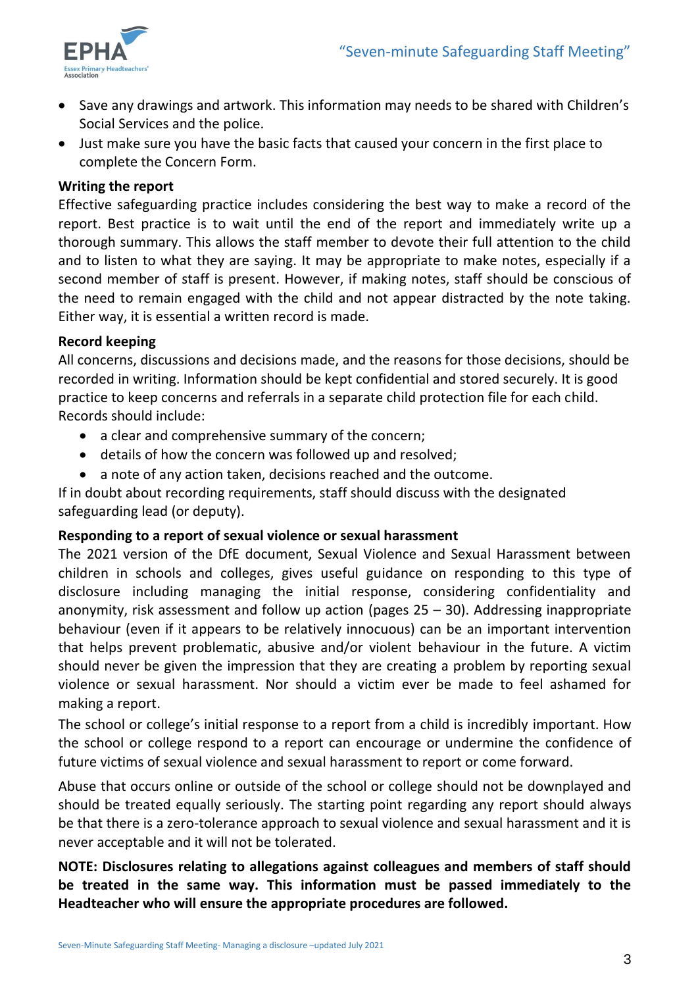

- Save any drawings and artwork. This information may needs to be shared with Children's Social Services and the police.
- Just make sure you have the basic facts that caused your concern in the first place to complete the Concern Form.

#### **Writing the report**

Effective safeguarding practice includes considering the best way to make a record of the report. Best practice is to wait until the end of the report and immediately write up a thorough summary. This allows the staff member to devote their full attention to the child and to listen to what they are saying. It may be appropriate to make notes, especially if a second member of staff is present. However, if making notes, staff should be conscious of the need to remain engaged with the child and not appear distracted by the note taking. Either way, it is essential a written record is made.

#### **Record keeping**

All concerns, discussions and decisions made, and the reasons for those decisions, should be recorded in writing. Information should be kept confidential and stored securely. It is good practice to keep concerns and referrals in a separate child protection file for each child. Records should include:

- a clear and comprehensive summary of the concern;
- details of how the concern was followed up and resolved;
- a note of any action taken, decisions reached and the outcome.

If in doubt about recording requirements, staff should discuss with the designated safeguarding lead (or deputy).

#### **Responding to a report of sexual violence or sexual harassment**

The 2021 version of the DfE document, Sexual Violence and Sexual Harassment between children in schools and colleges, gives useful guidance on responding to this type of disclosure including managing the initial response, considering confidentiality and anonymity, risk assessment and follow up action (pages 25 – 30). Addressing inappropriate behaviour (even if it appears to be relatively innocuous) can be an important intervention that helps prevent problematic, abusive and/or violent behaviour in the future. A victim should never be given the impression that they are creating a problem by reporting sexual violence or sexual harassment. Nor should a victim ever be made to feel ashamed for making a report.

The school or college's initial response to a report from a child is incredibly important. How the school or college respond to a report can encourage or undermine the confidence of future victims of sexual violence and sexual harassment to report or come forward.

Abuse that occurs online or outside of the school or college should not be downplayed and should be treated equally seriously. The starting point regarding any report should always be that there is a zero-tolerance approach to sexual violence and sexual harassment and it is never acceptable and it will not be tolerated.

# **NOTE: Disclosures relating to allegations against colleagues and members of staff should be treated in the same way. This information must be passed immediately to the Headteacher who will ensure the appropriate procedures are followed.**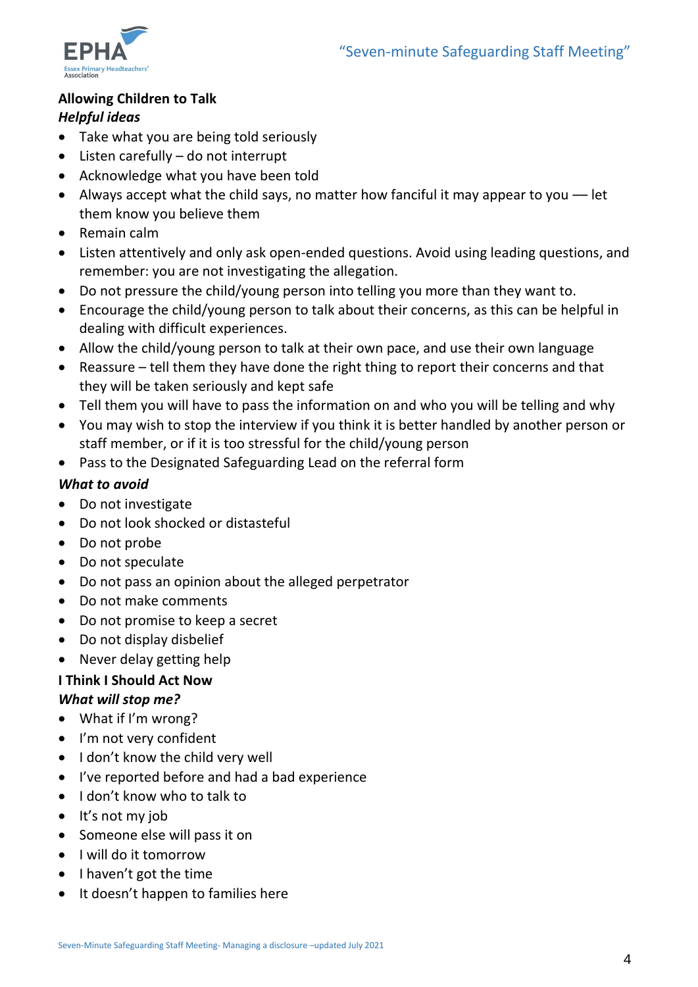

# **Allowing Children to Talk**

# *Helpful ideas*

- Take what you are being told seriously
- Listen carefully do not interrupt
- Acknowledge what you have been told
- Always accept what the child says, no matter how fanciful it may appear to you –– let them know you believe them
- Remain calm
- Listen attentively and only ask open-ended questions. Avoid using leading questions, and remember: you are not investigating the allegation.
- Do not pressure the child/young person into telling you more than they want to.
- Encourage the child/young person to talk about their concerns, as this can be helpful in dealing with difficult experiences.
- Allow the child/young person to talk at their own pace, and use their own language
- Reassure tell them they have done the right thing to report their concerns and that they will be taken seriously and kept safe
- Tell them you will have to pass the information on and who you will be telling and why
- You may wish to stop the interview if you think it is better handled by another person or staff member, or if it is too stressful for the child/young person
- Pass to the Designated Safeguarding Lead on the referral form

## *What to avoid*

- Do not investigate
- Do not look shocked or distasteful
- Do not probe
- Do not speculate
- Do not pass an opinion about the alleged perpetrator
- Do not make comments
- Do not promise to keep a secret
- Do not display disbelief
- Never delay getting help

## **I Think I Should Act Now** *What will stop me?*

- What if I'm wrong?
- I'm not very confident
- I don't know the child very well
- I've reported before and had a bad experience
- I don't know who to talk to
- $\bullet$  It's not my job
- Someone else will pass it on
- I will do it tomorrow
- $\bullet$  I haven't got the time
- It doesn't happen to families here